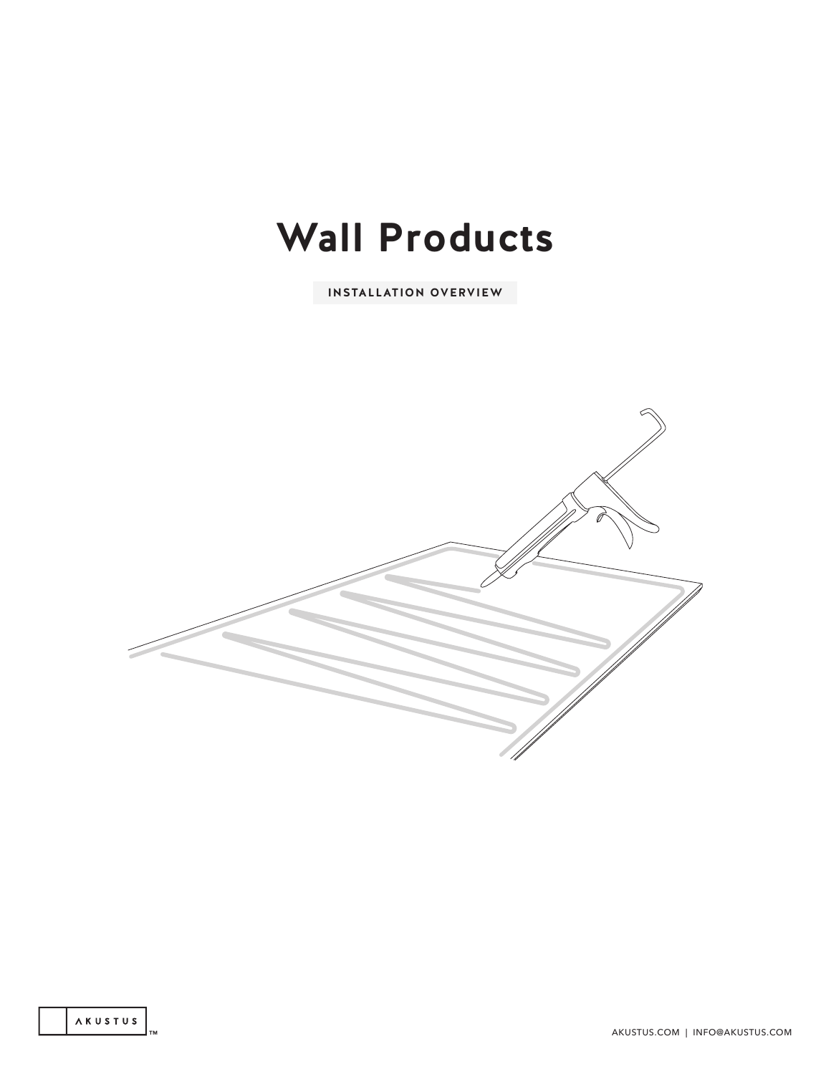# **Wall Products**

**INSTALLATION OVERVIEW**



TM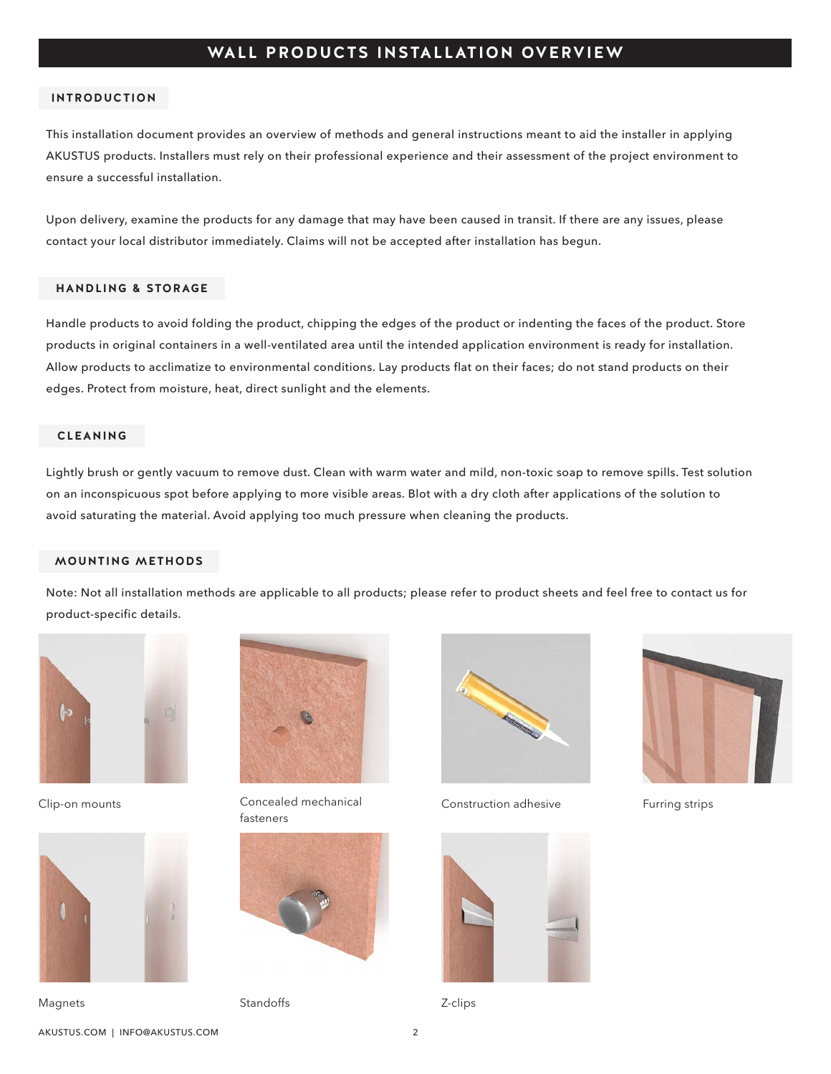## **WALL PRODUCTS INSTALLATION OVERVIEW**

#### **INTRODUCTION**

This installation document provides an overview of methods and general instructions meant to aid the installer in applying AKUSTUS products. Installers must rely on their professional experience and their assessment of the project environment to ensure a successful installation.

Upon delivery, examine the products for any damage that may have been caused in transit. If there are any issues, please contact your local distributor immediately. Claims will not be accepted after installation has begun.

#### **HANDLING & STORAGE**

Handle products to avoid folding the product, chipping the edges of the product or indenting the faces of the product. Store products in original containers in a well-ventilated area until the intended application environment is ready for installation. Allow products to acclimatize to environmental conditions. Lay products flat on their faces; do not stand products on their edges. Protect from moisture, heat, direct sunlight and the elements.

### **CLEANING**

Lightly brush or gently vacuum to remove dust. Clean with warm water and mild, non-toxic soap to remove spills. Test solution on an inconspicuous spot before applying to more visible areas. Blot with a dry cloth after applications of the solution to avoid saturating the material. Avoid applying too much pressure when cleaning the products.

#### **MOUNTING METHODS**

Note: Not all installation methods are applicable to all products; please refer to product sheets and feel free to contact us for product-specific details.





**Magnets** 



Clip-on mounts Concealed mechanical Furring strips Construction adhesive fastanars



Standoffs **Z-clips** 







AKUSTUS.COM | INFO@AKUSTUS.COM 2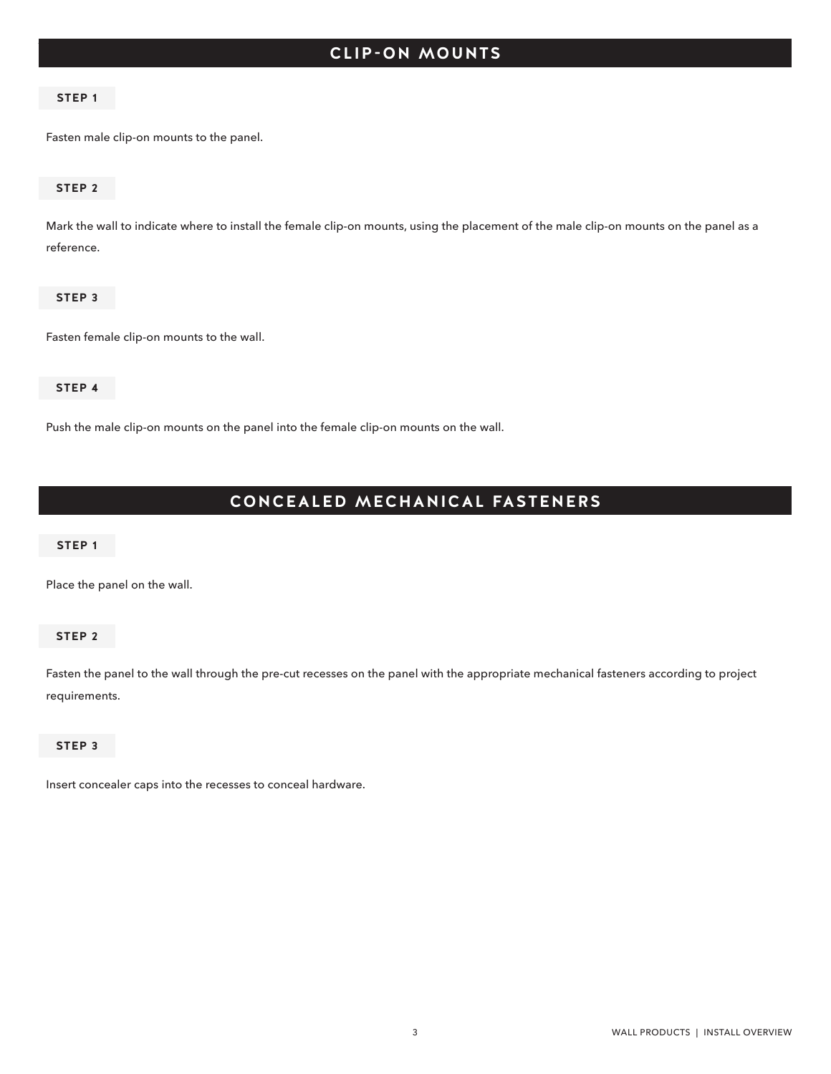# **TITLE** CLIP-ON MOUNTS

#### **STEP 1**

Fasten male clip-on mounts to the panel.

#### **STEP 2**

Mark the wall to indicate where to install the female clip-on mounts, using the placement of the male clip-on mounts on the panel as a reference.

#### **STEP 3**

Fasten female clip-on mounts to the wall.

#### **STEP 4**

Push the male clip-on mounts on the panel into the female clip-on mounts on the wall.

# **CONCEALED MECHANICAL FASTENERS**

#### **STEP 1**

Place the panel on the wall.

#### **STEP 2**

Fasten the panel to the wall through the pre-cut recesses on the panel with the appropriate mechanical fasteners according to project requirements.

#### **STEP 3**

Insert concealer caps into the recesses to conceal hardware.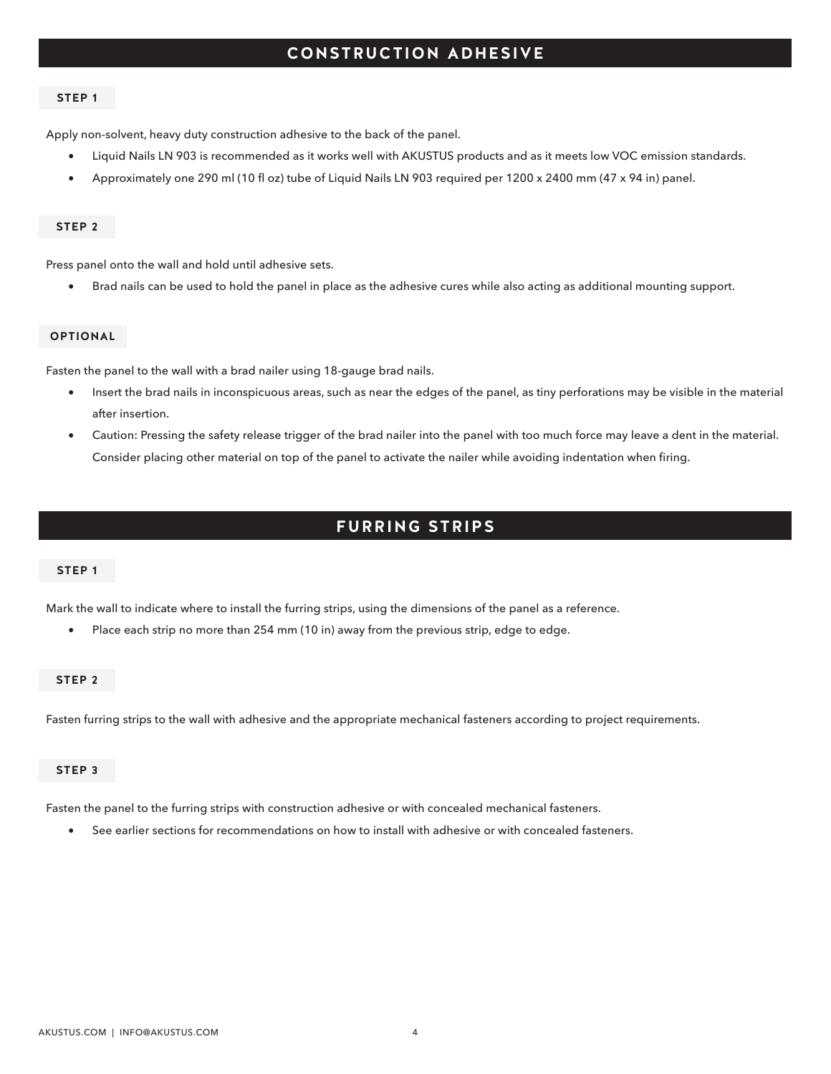## **CONSTRUCTION ADHESIVE**

#### **STEP 1**

Apply non-solvent, heavy duty construction adhesive to the back of the panel.

- Liquid Nails LN 903 is recommended as it works well with AKUSTUS products and as it meets low VOC emission standards.
- Approximately one 290 ml (10 fl oz) tube of Liquid Nails LN 903 required per 1200 x 2400 mm (47 x 94 in) panel.

#### **STEP 2**

Press panel onto the wall and hold until adhesive sets.

• Brad nails can be used to hold the panel in place as the adhesive cures while also acting as additional mounting support.

#### **OPTIONAL**

Fasten the panel to the wall with a brad nailer using 18-gauge brad nails.

- Insert the brad nails in inconspicuous areas, such as near the edges of the panel, as tiny perforations may be visible in the material after insertion.
- Caution: Pressing the safety release trigger of the brad nailer into the panel with too much force may leave a dent in the material. Consider placing other material on top of the panel to activate the nailer while avoiding indentation when firing.

## **FURRING STRIPS**

#### **STEP 1**

Mark the wall to indicate where to install the furring strips, using the dimensions of the panel as a reference.

• Place each strip no more than 254 mm (10 in) away from the previous strip, edge to edge.

#### **STEP 2**

Fasten furring strips to the wall with adhesive and the appropriate mechanical fasteners according to project requirements.

#### **STEP 3**

Fasten the panel to the furring strips with construction adhesive or with concealed mechanical fasteners.

• See earlier sections for recommendations on how to install with adhesive or with concealed fasteners.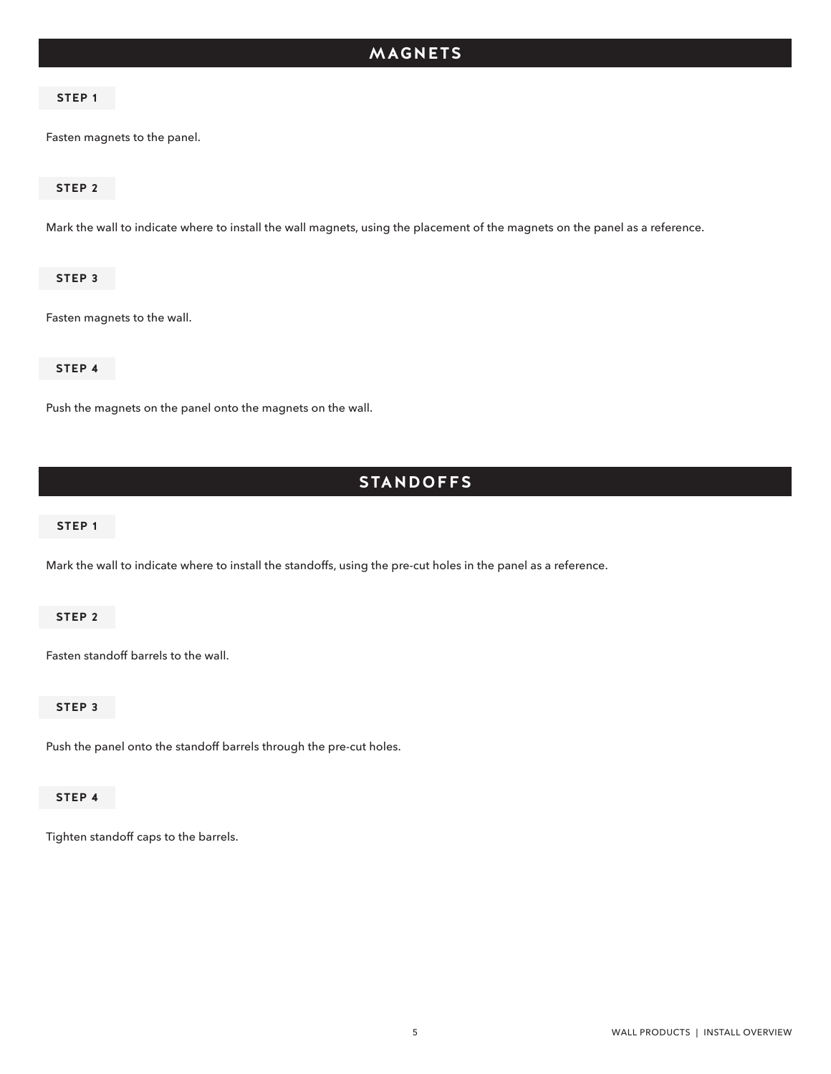# **TITLE MAGNETS**

#### **STEP 1**

Fasten magnets to the panel.

#### **STEP 2**

Mark the wall to indicate where to install the wall magnets, using the placement of the magnets on the panel as a reference.

#### **STEP 3**

Fasten magnets to the wall.

#### **STEP 4**

Push the magnets on the panel onto the magnets on the wall.

## **STANDOFFS**

#### **STEP 1**

Mark the wall to indicate where to install the standoffs, using the pre-cut holes in the panel as a reference.

#### **STEP 2**

Fasten standoff barrels to the wall.

#### **STEP 3**

Push the panel onto the standoff barrels through the pre-cut holes.

#### **STEP 4**

Tighten standoff caps to the barrels.